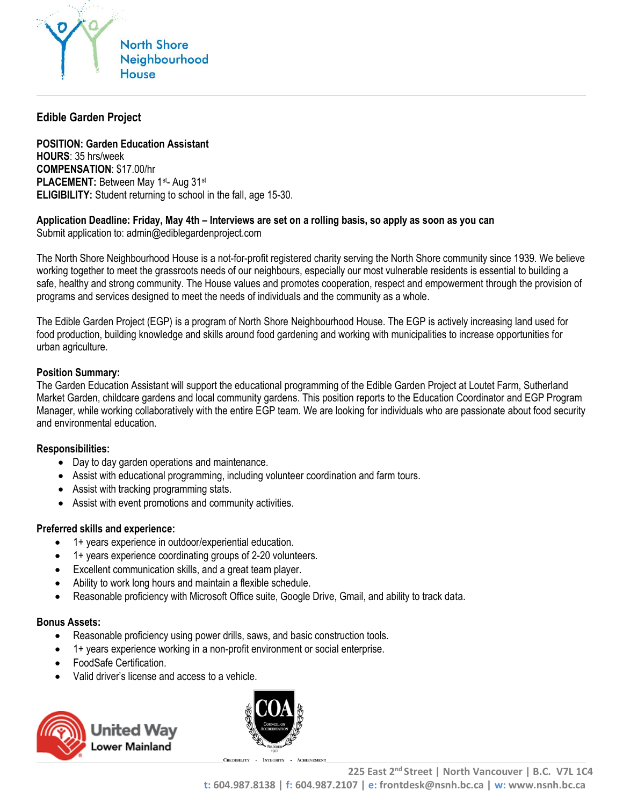

# **Edible Garden Project**

**POSITION: Garden Education Assistant HOURS**: 35 hrs/week **COMPENSATION**: \$17.00/hr **PLACEMENT: Between May 1st- Aug 31st ELIGIBILITY:** Student returning to school in the fall, age 15-30.

### **Application Deadline: Friday, May 4th – Interviews are set on a rolling basis, so apply as soon as you can**

Submit application to: admin@ediblegardenproject.com

The North Shore Neighbourhood House is a not-for-profit registered charity serving the North Shore community since 1939. We believe working together to meet the grassroots needs of our neighbours, especially our most vulnerable residents is essential to building a safe, healthy and strong community. The House values and promotes cooperation, respect and empowerment through the provision of programs and services designed to meet the needs of individuals and the community as a whole.

The Edible Garden Project (EGP) is a program of North Shore Neighbourhood House. The EGP is actively increasing land used for food production, building knowledge and skills around food gardening and working with municipalities to increase opportunities for urban agriculture.

#### **Position Summary:**

The Garden Education Assistant will support the educational programming of the Edible Garden Project at Loutet Farm, Sutherland Market Garden, childcare gardens and local community gardens. This position reports to the Education Coordinator and EGP Program Manager, while working collaboratively with the entire EGP team. We are looking for individuals who are passionate about food security and environmental education.

#### **Responsibilities:**

- Day to day garden operations and maintenance.
- Assist with educational programming, including volunteer coordination and farm tours.
- Assist with tracking programming stats.
- Assist with event promotions and community activities.

#### **Preferred skills and experience:**

- 1+ years experience in outdoor/experiential education.
- 1+ years experience coordinating groups of 2-20 volunteers.
- Excellent communication skills, and a great team player.
- Ability to work long hours and maintain a flexible schedule.
- Reasonable proficiency with Microsoft Office suite, Google Drive, Gmail, and ability to track data.

#### **Bonus Assets:**

- Reasonable proficiency using power drills, saws, and basic construction tools.
- 1+ years experience working in a non-profit environment or social enterprise.
- FoodSafe Certification.
- Valid driver's license and access to a vehicle.